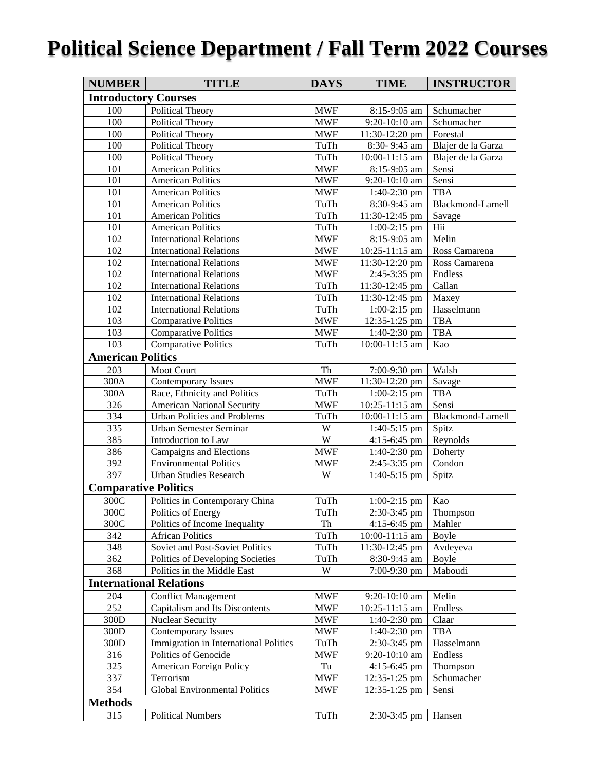# **Political Science Department / Fall Term 2022 Courses**

| <b>NUMBER</b>                  | <b>TITLE</b>                          | <b>DAYS</b> | <b>TIME</b>      | <b>INSTRUCTOR</b>  |  |  |  |
|--------------------------------|---------------------------------------|-------------|------------------|--------------------|--|--|--|
| <b>Introductory Courses</b>    |                                       |             |                  |                    |  |  |  |
| 100                            | Political Theory                      | <b>MWF</b>  | 8:15-9:05 am     | Schumacher         |  |  |  |
| 100                            | Political Theory                      | <b>MWF</b>  | 9:20-10:10 am    | Schumacher         |  |  |  |
| 100                            | <b>Political Theory</b>               | <b>MWF</b>  | 11:30-12:20 pm   | Forestal           |  |  |  |
| 100                            | Political Theory                      | TuTh        | 8:30-9:45 am     | Blajer de la Garza |  |  |  |
| 100                            | <b>Political Theory</b>               | TuTh        | 10:00-11:15 am   | Blajer de la Garza |  |  |  |
| 101                            | <b>American Politics</b>              | <b>MWF</b>  | 8:15-9:05 am     | Sensi              |  |  |  |
| 101                            | <b>American Politics</b>              | <b>MWF</b>  | 9:20-10:10 am    | Sensi              |  |  |  |
| 101                            | <b>American Politics</b>              | <b>MWF</b>  | 1:40-2:30 pm     | <b>TBA</b>         |  |  |  |
| 101                            | <b>American Politics</b>              | TuTh        | 8:30-9:45 am     | Blackmond-Larnell  |  |  |  |
| 101                            | <b>American Politics</b>              | TuTh        | 11:30-12:45 pm   | Savage             |  |  |  |
| 101                            | <b>American Politics</b>              | TuTh        | $1:00-2:15$ pm   | Hii                |  |  |  |
| 102                            | <b>International Relations</b>        | <b>MWF</b>  | 8:15-9:05 am     | Melin              |  |  |  |
| 102                            | <b>International Relations</b>        | <b>MWF</b>  | 10:25-11:15 am   | Ross Camarena      |  |  |  |
| 102                            | <b>International Relations</b>        | <b>MWF</b>  | 11:30-12:20 pm   | Ross Camarena      |  |  |  |
| 102                            | <b>International Relations</b>        | <b>MWF</b>  | 2:45-3:35 pm     | Endless            |  |  |  |
| 102                            | <b>International Relations</b>        | TuTh        | 11:30-12:45 pm   | Callan             |  |  |  |
| 102                            | <b>International Relations</b>        | TuTh        | $11:30-12:45$ pm | Maxey              |  |  |  |
| 102                            | <b>International Relations</b>        | TuTh        | $1:00-2:15$ pm   | Hasselmann         |  |  |  |
| 103                            | <b>Comparative Politics</b>           | <b>MWF</b>  | 12:35-1:25 pm    | <b>TBA</b>         |  |  |  |
| 103                            | <b>Comparative Politics</b>           | <b>MWF</b>  | 1:40-2:30 pm     | <b>TBA</b>         |  |  |  |
| 103                            | <b>Comparative Politics</b>           | TuTh        | $10:00-11:15$ am | Kao                |  |  |  |
| <b>American Politics</b>       |                                       |             |                  |                    |  |  |  |
| 203                            | <b>Moot Court</b>                     | Th          | 7:00-9:30 pm     | Walsh              |  |  |  |
| 300A                           | <b>Contemporary Issues</b>            | <b>MWF</b>  | 11:30-12:20 pm   | Savage             |  |  |  |
| 300A                           | Race, Ethnicity and Politics          | TuTh        | $1:00-2:15$ pm   | <b>TBA</b>         |  |  |  |
| 326                            | <b>American National Security</b>     | <b>MWF</b>  | 10:25-11:15 am   | Sensi              |  |  |  |
| 334                            | <b>Urban Policies and Problems</b>    | TuTh        | 10:00-11:15 am   | Blackmond-Larnell  |  |  |  |
| 335                            | Urban Semester Seminar                | W           | $1:40-5:15$ pm   | Spitz              |  |  |  |
| 385                            | Introduction to Law                   | W           | $4:15-6:45$ pm   | Reynolds           |  |  |  |
| 386                            | Campaigns and Elections               | <b>MWF</b>  | $1:40-2:30$ pm   | Doherty            |  |  |  |
| 392                            | <b>Environmental Politics</b>         | <b>MWF</b>  | 2:45-3:35 pm     | Condon             |  |  |  |
| 397                            | <b>Urban Studies Research</b>         | W           | $1:40-5:15$ pm   | Spitz              |  |  |  |
| <b>Comparative Politics</b>    |                                       |             |                  |                    |  |  |  |
| 300C                           | Politics in Contemporary China        | TuTh        | $1:00-2:15$ pm   | Kao                |  |  |  |
| $300C$                         | Politics of Energy                    | TuTh        | $2:30-3:45$ pm   | Thompson           |  |  |  |
| 300C                           | Politics of Income Inequality         | Th          | $4:15-6:45$ pm   | Mahler             |  |  |  |
| 342                            | <b>African Politics</b>               | TuTh        | 10:00-11:15 am   | Boyle              |  |  |  |
| 348                            | Soviet and Post-Soviet Politics       | TuTh        | 11:30-12:45 pm   | Avdeyeva           |  |  |  |
| 362                            | Politics of Developing Societies      | TuTh        | 8:30-9:45 am     | <b>Boyle</b>       |  |  |  |
| 368                            | Politics in the Middle East           | W           | 7:00-9:30 pm     | Maboudi            |  |  |  |
| <b>International Relations</b> |                                       |             |                  |                    |  |  |  |
| 204                            | <b>Conflict Management</b>            | <b>MWF</b>  | 9:20-10:10 am    | Melin              |  |  |  |
| 252                            | Capitalism and Its Discontents        | <b>MWF</b>  | 10:25-11:15 am   | Endless            |  |  |  |
| 300D                           | <b>Nuclear Security</b>               | <b>MWF</b>  | $1:40-2:30$ pm   | Claar              |  |  |  |
| 300D                           | <b>Contemporary Issues</b>            | <b>MWF</b>  | $1:40-2:30$ pm   | <b>TBA</b>         |  |  |  |
| 300D                           | Immigration in International Politics | TuTh        | 2:30-3:45 pm     | Hasselmann         |  |  |  |
| 316                            | Politics of Genocide                  | <b>MWF</b>  | 9:20-10:10 am    | Endless            |  |  |  |
| 325                            | <b>American Foreign Policy</b>        | Tu          | 4:15-6:45 pm     | Thompson           |  |  |  |
| 337                            | Terrorism                             | <b>MWF</b>  | 12:35-1:25 pm    | Schumacher         |  |  |  |
| 354                            | <b>Global Environmental Politics</b>  | <b>MWF</b>  | 12:35-1:25 pm    | Sensi              |  |  |  |
| <b>Methods</b>                 |                                       |             |                  |                    |  |  |  |
| 315                            | <b>Political Numbers</b>              | TuTh        | 2:30-3:45 pm     | Hansen             |  |  |  |